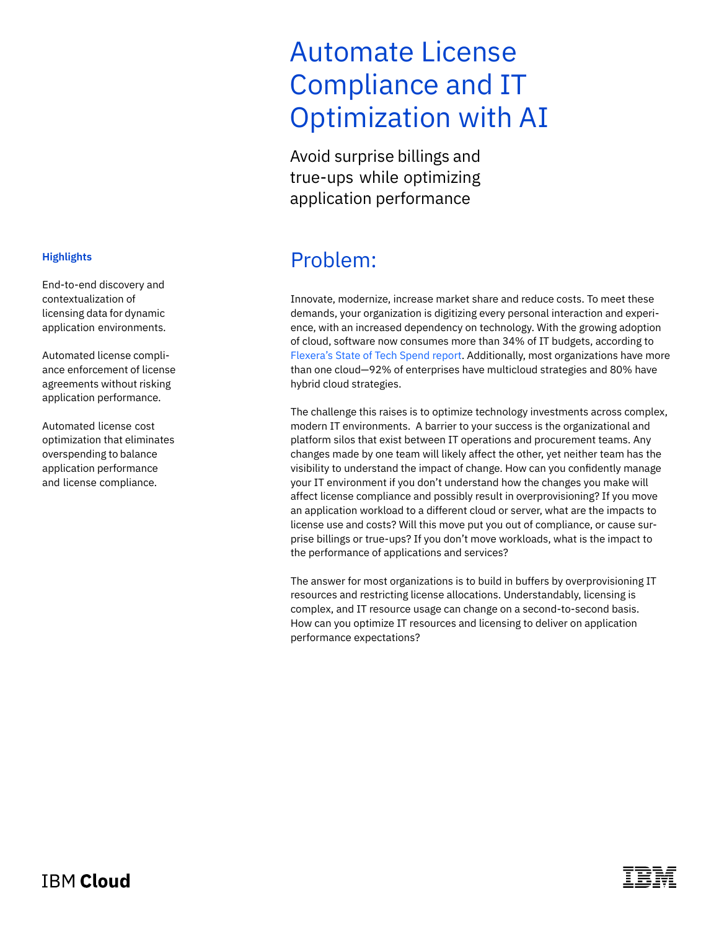# Automate License Compliance and IT Optimization with AI

Avoid surprise billings and true-ups while optimizing application performance

### Problem:

Innovate, modernize, increase market share and reduce costs. To meet these demands, your organization is digitizing every personal interaction and experience, with an increased dependency on technology. With the growing adoption of cloud, software now consumes more than 34% of IT budgets, according to [Flexera's State of Tech Spend report](https://info.flexera.com/SLO-REPORT-State-of-Tech-Spend?lead_source=PPC&utm_source=google&utm_medium=cpc&utm_campaign=NB-State-Tech-Spend&campaignid=10764910724&adgroupid=111812835731&utm_term=state%20of%20tech%20spend%20report&https://info.flexera.com/SLO-REPORT-State-of-Tech-Spend%3Flead_source%3DPPC&_bt=454562741204&_bk=state%20of%20tech%20spend%20report&_bm=e&_bn=g&_bg=111812835731&gclid=Cj0KCQiA95aRBhCsARIsAC2xvfzUUOFR5mjp4PXr61Gk3_rlHj9g5yIu_NYIHsgGmSJgsaZCtcQQOIAaAt7HEALw_wcB). Additionally, most organizations have more than one cloud—92% of enterprises have multicloud strategies and 80% have hybrid cloud strategies.

The challenge this raises is to optimize technology investments across complex, modern IT environments. A barrier to your success is the organizational and platform silos that exist between IT operations and procurement teams. Any changes made by one team will likely affect the other, yet neither team has the visibility to understand the impact of change. How can you confidently manage your IT environment if you don't understand how the changes you make will affect license compliance and possibly result in overprovisioning? If you move an application workload to a different cloud or server, what are the impacts to license use and costs? Will this move put you out of compliance, or cause surprise billings or true-ups? If you don't move workloads, what is the impact to the performance of applications and services?

The answer for most organizations is to build in buffers by overprovisioning IT resources and restricting license allocations. Understandably, licensing is complex, and IT resource usage can change on a second-to-second basis. How can you optimize IT resources and licensing to deliver on application performance expectations?

### **Highlights**

End-to-end discovery and contextualization of licensing data for dynamic application environments.

Automated license compliance enforcement of license agreements without risking application performance.

Automated license cost optimization that eliminates overspending to balance application performance and license compliance.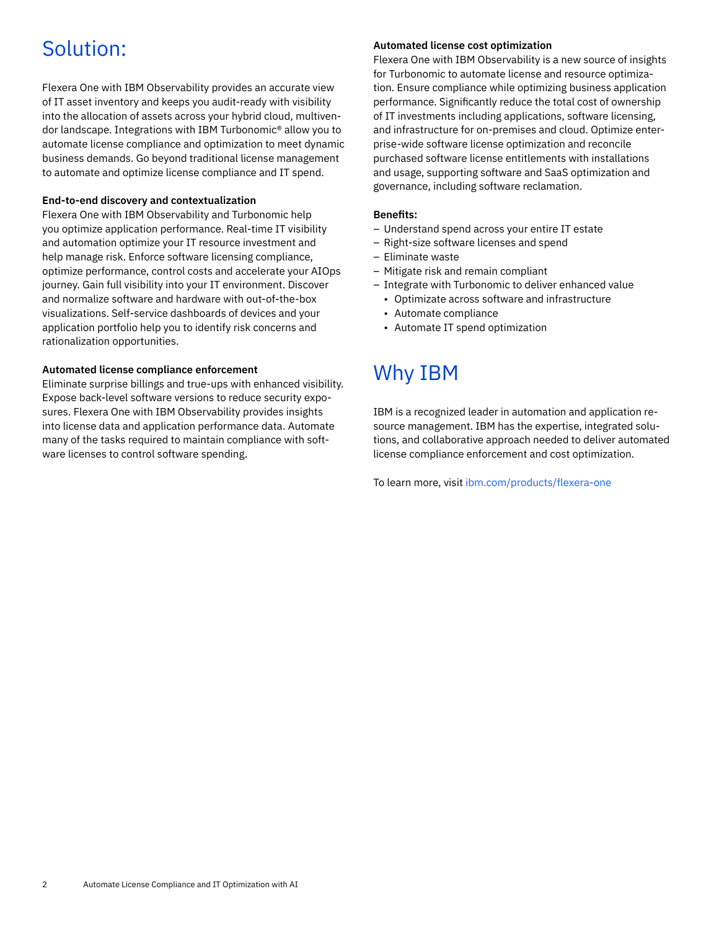## Solution:

Flexera One with IBM Observability provides an accurate view of IT asset inventory and keeps you audit-ready with visibility into the allocation of assets across your hybrid cloud, multivendor landscape. Integrations with IBM Turbonomic® allow you to automate license compliance and optimization to meet dynamic business demands. Go beyond traditional license management to automate and optimize license compliance and IT spend.

#### **End-to-end discovery and contextualization**

Flexera One with IBM Observability and Turbonomic help you optimize application performance. Real-time IT visibility and automation optimize your IT resource investment and help manage risk. Enforce software licensing compliance, optimize performance, control costs and accelerate your AIOps journey. Gain full visibility into your IT environment. Discover and normalize software and hardware with out-of-the-box visualizations. Self-service dashboards of devices and your application portfolio help you to identify risk concerns and rationalization opportunities.

#### **Automated license compliance enforcement**

Eliminate surprise billings and true-ups with enhanced visibility. Expose back-level software versions to reduce security exposures. Flexera One with IBM Observability provides insights into license data and application performance data. Automate many of the tasks required to maintain compliance with software licenses to control software spending.

#### **Automated license cost optimization**

Flexera One with IBM Observability is a new source of insights for Turbonomic to automate license and resource optimization. Ensure compliance while optimizing business application performance. Significantly reduce the total cost of ownership of IT investments including applications, software licensing, and infrastructure for on-premises and cloud. Optimize enterprise-wide software license optimization and reconcile purchased software license entitlements with installations and usage, supporting software and SaaS optimization and governance, including software reclamation.

#### **Benefits:**

- Understand spend across your entire IT estate
- Right-size software licenses and spend
- Eliminate waste
- Mitigate risk and remain compliant
- Integrate with Turbonomic to deliver enhanced value
	- Optimizate across software and infrastructure
	- Automate compliance
	- Automate IT spend optimization

### Why IBM

IBM is a recognized leader in automation and application resource management. IBM has the expertise, integrated solutions, and collaborative approach needed to deliver automated license compliance enforcement and cost optimization.

To learn more, visit [ibm.com/products/flexera-one](http://ibm.com/products/flexera-one)